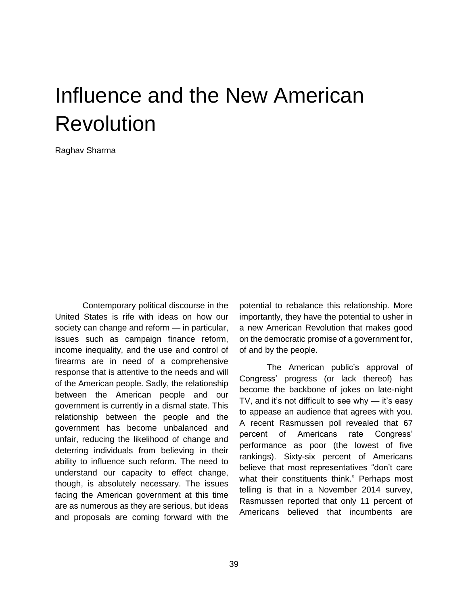# Influence and the New American Revolution

Raghav Sharma

Contemporary political discourse in the United States is rife with ideas on how our society can change and reform — in particular, issues such as campaign finance reform, income inequality, and the use and control of firearms are in need of a comprehensive response that is attentive to the needs and will of the American people. Sadly, the relationship between the American people and our government is currently in a dismal state. This relationship between the people and the government has become unbalanced and unfair, reducing the likelihood of change and deterring individuals from believing in their ability to influence such reform. The need to understand our capacity to effect change, though, is absolutely necessary. The issues facing the American government at this time are as numerous as they are serious, but ideas and proposals are coming forward with the potential to rebalance this relationship. More importantly, they have the potential to usher in a new American Revolution that makes good on the democratic promise of a government for, of and by the people.

The American public's approval of Congress' progress (or lack thereof) has become the backbone of jokes on late-night TV, and it's not difficult to see why — it's easy to appease an audience that agrees with you. A recent Rasmussen poll revealed that 67 percent of Americans rate Congress' performance as poor (the lowest of five rankings). Sixty-six percent of Americans believe that most representatives "don't care what their constituents think." Perhaps most telling is that in a November 2014 survey, Rasmussen reported that only 11 percent of Americans believed that incumbents are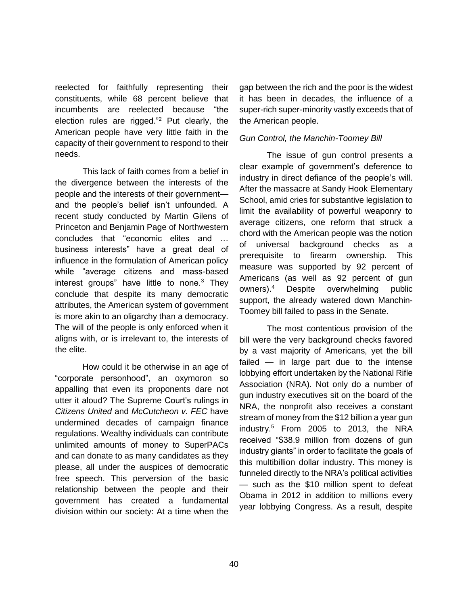reelected for faithfully representing their constituents, while 68 percent believe that incumbents are reelected because "the election rules are rigged."<sup>2</sup> Put clearly, the American people have very little faith in the capacity of their government to respond to their needs.

This lack of faith comes from a belief in the divergence between the interests of the people and the interests of their government and the people's belief isn't unfounded. A recent study conducted by Martin Gilens of Princeton and Benjamin Page of Northwestern concludes that "economic elites and … business interests" have a great deal of influence in the formulation of American policy while "average citizens and mass-based interest groups" have little to none.<sup>3</sup> They conclude that despite its many democratic attributes, the American system of government is more akin to an oligarchy than a democracy. The will of the people is only enforced when it aligns with, or is irrelevant to, the interests of the elite.

How could it be otherwise in an age of "corporate personhood", an oxymoron so appalling that even its proponents dare not utter it aloud? The Supreme Court's rulings in *Citizens United* and *McCutcheon v. FEC* have undermined decades of campaign finance regulations. Wealthy individuals can contribute unlimited amounts of money to SuperPACs and can donate to as many candidates as they please, all under the auspices of democratic free speech. This perversion of the basic relationship between the people and their government has created a fundamental division within our society: At a time when the

gap between the rich and the poor is the widest it has been in decades, the influence of a super-rich super-minority vastly exceeds that of the American people.

## *Gun Control, the Manchin-Toomey Bill*

The issue of gun control presents a clear example of government's deference to industry in direct defiance of the people's will. After the massacre at Sandy Hook Elementary School, amid cries for substantive legislation to limit the availability of powerful weaponry to average citizens, one reform that struck a chord with the American people was the notion of universal background checks as a prerequisite to firearm ownership. This measure was supported by 92 percent of Americans (as well as 92 percent of gun owners).<sup>4</sup> Despite overwhelming public support, the already watered down Manchin-Toomey bill failed to pass in the Senate.

The most contentious provision of the bill were the very background checks favored by a vast majority of Americans, yet the bill failed — in large part due to the intense lobbying effort undertaken by the National Rifle Association (NRA). Not only do a number of gun industry executives sit on the board of the NRA, the nonprofit also receives a constant stream of money from the \$12 billion a year gun industry.<sup>5</sup> From 2005 to 2013, the NRA received "\$38.9 million from dozens of gun industry giants" in order to facilitate the goals of this multibillion dollar industry. This money is funneled directly to the NRA's political activities — such as the \$10 million spent to defeat Obama in 2012 in addition to millions every year lobbying Congress. As a result, despite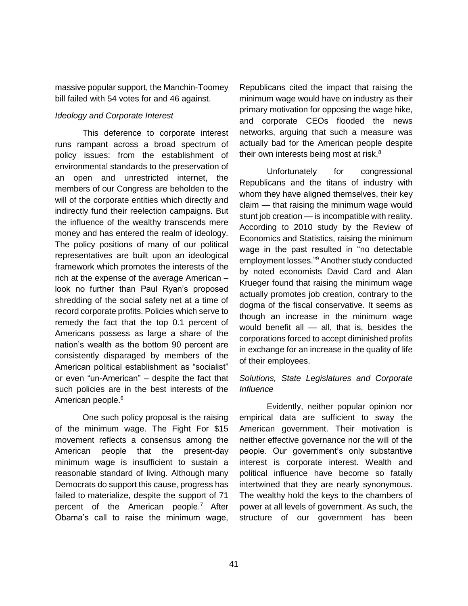massive popular support, the Manchin-Toomey bill failed with 54 votes for and 46 against.

## *Ideology and Corporate Interest*

This deference to corporate interest runs rampant across a broad spectrum of policy issues: from the establishment of environmental standards to the preservation of an open and unrestricted internet, the members of our Congress are beholden to the will of the corporate entities which directly and indirectly fund their reelection campaigns. But the influence of the wealthy transcends mere money and has entered the realm of ideology. The policy positions of many of our political representatives are built upon an ideological framework which promotes the interests of the rich at the expense of the average American – look no further than Paul Ryan's proposed shredding of the social safety net at a time of record corporate profits. Policies which serve to remedy the fact that the top 0.1 percent of Americans possess as large a share of the nation's wealth as the bottom 90 percent are consistently disparaged by members of the American political establishment as "socialist" or even "un-American" – despite the fact that such policies are in the best interests of the American people.<sup>6</sup>

One such policy proposal is the raising of the minimum wage. The Fight For \$15 movement reflects a consensus among the American people that the present-day minimum wage is insufficient to sustain a reasonable standard of living. Although many Democrats do support this cause, progress has failed to materialize, despite the support of 71 percent of the American people.<sup>7</sup> After Obama's call to raise the minimum wage,

Republicans cited the impact that raising the minimum wage would have on industry as their primary motivation for opposing the wage hike, and corporate CEOs flooded the news networks, arguing that such a measure was actually bad for the American people despite their own interests being most at risk. $8$ 

Unfortunately for congressional Republicans and the titans of industry with whom they have aligned themselves, their key claim — that raising the minimum wage would stunt job creation — is incompatible with reality. According to 2010 study by the Review of Economics and Statistics, raising the minimum wage in the past resulted in "no detectable employment losses."<sup>9</sup> Another study conducted by noted economists David Card and Alan Krueger found that raising the minimum wage actually promotes job creation, contrary to the dogma of the fiscal conservative. It seems as though an increase in the minimum wage would benefit all — all, that is, besides the corporations forced to accept diminished profits in exchange for an increase in the quality of life of their employees.

## *Solutions, State Legislatures and Corporate Influence*

Evidently, neither popular opinion nor empirical data are sufficient to sway the American government. Their motivation is neither effective governance nor the will of the people. Our government's only substantive interest is corporate interest. Wealth and political influence have become so fatally intertwined that they are nearly synonymous. The wealthy hold the keys to the chambers of power at all levels of government. As such, the structure of our government has been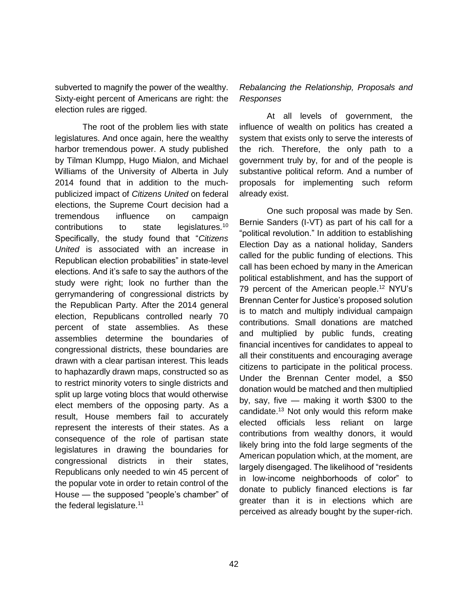subverted to magnify the power of the wealthy. Sixty-eight percent of Americans are right: the election rules are rigged.

The root of the problem lies with state legislatures. And once again, here the wealthy harbor tremendous power. A study published by Tilman Klumpp, Hugo Mialon, and Michael Williams of the University of Alberta in July 2014 found that in addition to the muchpublicized impact of *Citizens United* on federal elections, the Supreme Court decision had a tremendous influence on campaign contributions to state legislatures.<sup>10</sup> Specifically, the study found that "*Citizens United* is associated with an increase in Republican election probabilities" in state-level elections. And it's safe to say the authors of the study were right; look no further than the gerrymandering of congressional districts by the Republican Party. After the 2014 general election, Republicans controlled nearly 70 percent of state assemblies. As these assemblies determine the boundaries of congressional districts, these boundaries are drawn with a clear partisan interest. This leads to haphazardly drawn maps, constructed so as to restrict minority voters to single districts and split up large voting blocs that would otherwise elect members of the opposing party. As a result, House members fail to accurately represent the interests of their states. As a consequence of the role of partisan state legislatures in drawing the boundaries for congressional districts in their states, Republicans only needed to win 45 percent of the popular vote in order to retain control of the House — the supposed "people's chamber" of the federal legislature.<sup>11</sup>

## *Rebalancing the Relationship, Proposals and Responses*

At all levels of government, the influence of wealth on politics has created a system that exists only to serve the interests of the rich. Therefore, the only path to a government truly by, for and of the people is substantive political reform. And a number of proposals for implementing such reform already exist.

One such proposal was made by Sen. Bernie Sanders (I-VT) as part of his call for a "political revolution." In addition to establishing Election Day as a national holiday, Sanders called for the public funding of elections. This call has been echoed by many in the American political establishment, and has the support of 79 percent of the American people.<sup>12</sup> NYU's Brennan Center for Justice's proposed solution is to match and multiply individual campaign contributions. Small donations are matched and multiplied by public funds, creating financial incentives for candidates to appeal to all their constituents and encouraging average citizens to participate in the political process. Under the Brennan Center model, a \$50 donation would be matched and then multiplied by, say, five — making it worth \$300 to the candidate.<sup>13</sup> Not only would this reform make elected officials less reliant on large contributions from wealthy donors, it would likely bring into the fold large segments of the American population which, at the moment, are largely disengaged. The likelihood of "residents in low-income neighborhoods of color" to donate to publicly financed elections is far greater than it is in elections which are perceived as already bought by the super-rich.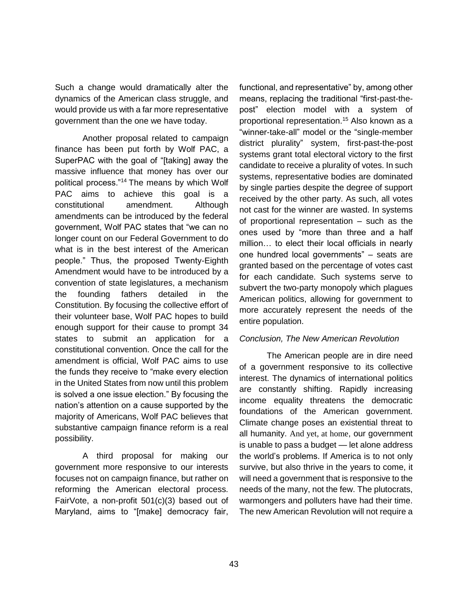Such a change would dramatically alter the dynamics of the American class struggle, and would provide us with a far more representative government than the one we have today.

Another proposal related to campaign finance has been put forth by Wolf PAC, a SuperPAC with the goal of "[taking] away the massive influence that money has over our political process."<sup>14</sup> The means by which Wolf PAC aims to achieve this goal is a constitutional amendment. Although amendments can be introduced by the federal government, Wolf PAC states that "we can no longer count on our Federal Government to do what is in the best interest of the American people." Thus, the proposed Twenty-Eighth Amendment would have to be introduced by a convention of state legislatures, a mechanism the founding fathers detailed in the Constitution. By focusing the collective effort of their volunteer base, Wolf PAC hopes to build enough support for their cause to prompt 34 states to submit an application for a constitutional convention. Once the call for the amendment is official, Wolf PAC aims to use the funds they receive to "make every election in the United States from now until this problem is solved a one issue election." By focusing the nation's attention on a cause supported by the majority of Americans, Wolf PAC believes that substantive campaign finance reform is a real possibility.

A third proposal for making our government more responsive to our interests focuses not on campaign finance, but rather on reforming the American electoral process. FairVote, a non-profit 501(c)(3) based out of Maryland, aims to "[make] democracy fair, functional, and representative" by, among other means, replacing the traditional "first-past-thepost" election model with a system of proportional representation.<sup>15</sup> Also known as a "winner-take-all" model or the "single-member district plurality" system, first-past-the-post systems grant total electoral victory to the first candidate to receive a plurality of votes. In such systems, representative bodies are dominated by single parties despite the degree of support received by the other party. As such, all votes not cast for the winner are wasted. In systems of proportional representation – such as the ones used by "more than three and a half million… to elect their local officials in nearly one hundred local governments" – seats are granted based on the percentage of votes cast for each candidate. Such systems serve to subvert the two-party monopoly which plagues American politics, allowing for government to more accurately represent the needs of the entire population.

## *Conclusion, The New American Revolution*

The American people are in dire need of a government responsive to its collective interest. The dynamics of international politics are constantly shifting. Rapidly increasing income equality threatens the democratic foundations of the American government. Climate change poses an existential threat to all humanity. And yet, at home, our government is unable to pass a budget — let alone address the world's problems. If America is to not only survive, but also thrive in the years to come, it will need a government that is responsive to the needs of the many, not the few. The plutocrats, warmongers and polluters have had their time. The new American Revolution will not require a